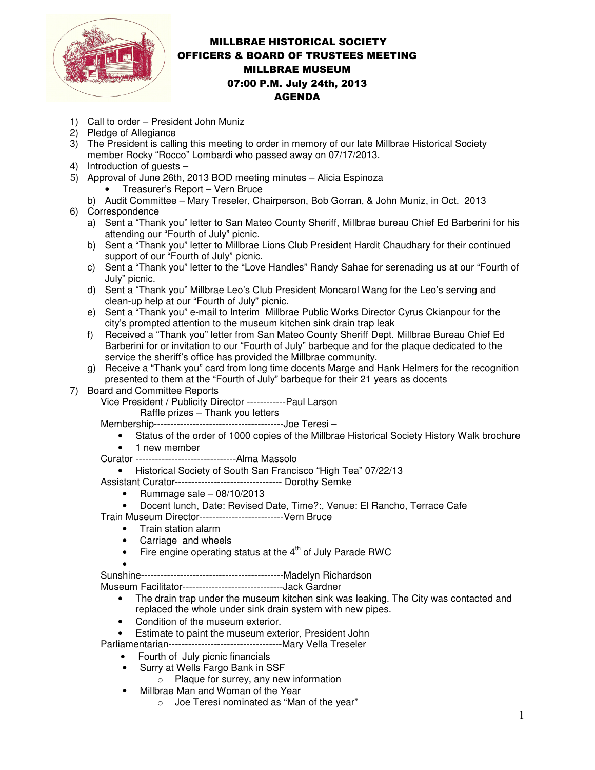

## MILLBRAE HISTORICAL SOCIETY OFFICERS & BOARD OF TRUSTEES MEETING MILLBRAE MUSEUM 07:00 P.M. July 24th, 2013 AGENDA

- 1) Call to order President John Muniz
- 2) Pledge of Allegiance
- 3) The President is calling this meeting to order in memory of our late Millbrae Historical Society member Rocky "Rocco" Lombardi who passed away on 07/17/2013.
- 4) Introduction of guests –
- 5) Approval of June 26th, 2013 BOD meeting minutes Alicia Espinoza
	- Treasurer's Report Vern Bruce
	- b) Audit Committee Mary Treseler, Chairperson, Bob Gorran, & John Muniz, in Oct. 2013
- 6) Correspondence
	- a) Sent a "Thank you" letter to San Mateo County Sheriff, Millbrae bureau Chief Ed Barberini for his attending our "Fourth of July" picnic.
	- b) Sent a "Thank you" letter to Millbrae Lions Club President Hardit Chaudhary for their continued support of our "Fourth of July" picnic.
	- c) Sent a "Thank you" letter to the "Love Handles" Randy Sahae for serenading us at our "Fourth of July" picnic.
	- d) Sent a "Thank you" Millbrae Leo's Club President Moncarol Wang for the Leo's serving and clean-up help at our "Fourth of July" picnic.
	- e) Sent a "Thank you" e-mail to Interim Millbrae Public Works Director Cyrus Ckianpour for the city's prompted attention to the museum kitchen sink drain trap leak
	- f) Received a "Thank you" letter from San Mateo County Sheriff Dept. Millbrae Bureau Chief Ed Barberini for or invitation to our "Fourth of July" barbeque and for the plaque dedicated to the service the sheriff's office has provided the Millbrae community.
	- g) Receive a "Thank you" card from long time docents Marge and Hank Helmers for the recognition presented to them at the "Fourth of July" barbeque for their 21 years as docents
- 7) Board and Committee Reports

Vice President / Publicity Director ------------Paul Larson

Raffle prizes – Thank you letters

Membership----------------------------------------Joe Teresi –

- Status of the order of 1000 copies of the Millbrae Historical Society History Walk brochure • 1 new member
- Curator -------------------------------Alma Massolo
	- Historical Society of South San Francisco "High Tea" 07/22/13
- Assistant Curator--------------------------------- Dorothy Semke
	- Rummage sale  $-08/10/2013$
	- Docent lunch, Date: Revised Date, Time?:, Venue: El Rancho, Terrace Cafe
- Train Museum Director--------------------------Vern Bruce
	- Train station alarm
	- Carriage and wheels
	- $\bullet$  Fire engine operating status at the  $4^{\text{th}}$  of July Parade RWC
	- •

Sunshine--------------------------------------------Madelyn Richardson

Museum Facilitator-------------------------------Jack Gardner

- The drain trap under the museum kitchen sink was leaking. The City was contacted and replaced the whole under sink drain system with new pipes.
- Condition of the museum exterior.
- Estimate to paint the museum exterior, President John

Parliamentarian-----------------------------------Mary Vella Treseler

- Fourth of July picnic financials
- Surry at Wells Fargo Bank in SSF
	- $\circ$  Plaque for surrey, any new information
- Millbrae Man and Woman of the Year
	- o Joe Teresi nominated as "Man of the year"